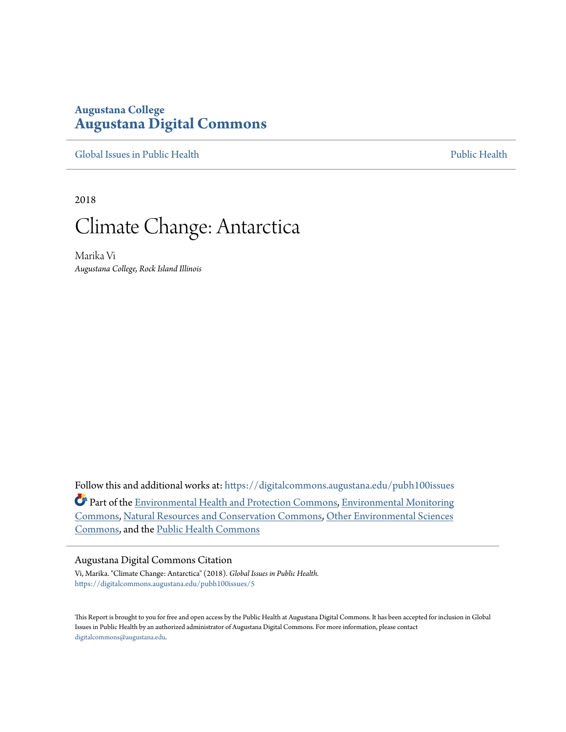# **Augustana College [Augustana Digital Commons](https://digitalcommons.augustana.edu?utm_source=digitalcommons.augustana.edu%2Fpubh100issues%2F5&utm_medium=PDF&utm_campaign=PDFCoverPages)**

[Global Issues in Public Health](https://digitalcommons.augustana.edu/pubh100issues?utm_source=digitalcommons.augustana.edu%2Fpubh100issues%2F5&utm_medium=PDF&utm_campaign=PDFCoverPages) [Public Health](https://digitalcommons.augustana.edu/publichealth?utm_source=digitalcommons.augustana.edu%2Fpubh100issues%2F5&utm_medium=PDF&utm_campaign=PDFCoverPages) Public Health Public Health Public Health

2018

# Climate Change: Antarctica

Marika Vi *Augustana College, Rock Island Illinois*

Follow this and additional works at: [https://digitalcommons.augustana.edu/pubh100issues](https://digitalcommons.augustana.edu/pubh100issues?utm_source=digitalcommons.augustana.edu%2Fpubh100issues%2F5&utm_medium=PDF&utm_campaign=PDFCoverPages) Part of the [Environmental Health and Protection Commons,](http://network.bepress.com/hgg/discipline/172?utm_source=digitalcommons.augustana.edu%2Fpubh100issues%2F5&utm_medium=PDF&utm_campaign=PDFCoverPages) [Environmental Monitoring](http://network.bepress.com/hgg/discipline/931?utm_source=digitalcommons.augustana.edu%2Fpubh100issues%2F5&utm_medium=PDF&utm_campaign=PDFCoverPages) [Commons,](http://network.bepress.com/hgg/discipline/931?utm_source=digitalcommons.augustana.edu%2Fpubh100issues%2F5&utm_medium=PDF&utm_campaign=PDFCoverPages) [Natural Resources and Conservation Commons](http://network.bepress.com/hgg/discipline/168?utm_source=digitalcommons.augustana.edu%2Fpubh100issues%2F5&utm_medium=PDF&utm_campaign=PDFCoverPages), [Other Environmental Sciences](http://network.bepress.com/hgg/discipline/173?utm_source=digitalcommons.augustana.edu%2Fpubh100issues%2F5&utm_medium=PDF&utm_campaign=PDFCoverPages) [Commons,](http://network.bepress.com/hgg/discipline/173?utm_source=digitalcommons.augustana.edu%2Fpubh100issues%2F5&utm_medium=PDF&utm_campaign=PDFCoverPages) and the [Public Health Commons](http://network.bepress.com/hgg/discipline/738?utm_source=digitalcommons.augustana.edu%2Fpubh100issues%2F5&utm_medium=PDF&utm_campaign=PDFCoverPages)

#### Augustana Digital Commons Citation

Vi, Marika. "Climate Change: Antarctica" (2018). *Global Issues in Public Health.* [https://digitalcommons.augustana.edu/pubh100issues/5](https://digitalcommons.augustana.edu/pubh100issues/5?utm_source=digitalcommons.augustana.edu%2Fpubh100issues%2F5&utm_medium=PDF&utm_campaign=PDFCoverPages)

This Report is brought to you for free and open access by the Public Health at Augustana Digital Commons. It has been accepted for inclusion in Global Issues in Public Health by an authorized administrator of Augustana Digital Commons. For more information, please contact [digitalcommons@augustana.edu.](mailto:digitalcommons@augustana.edu)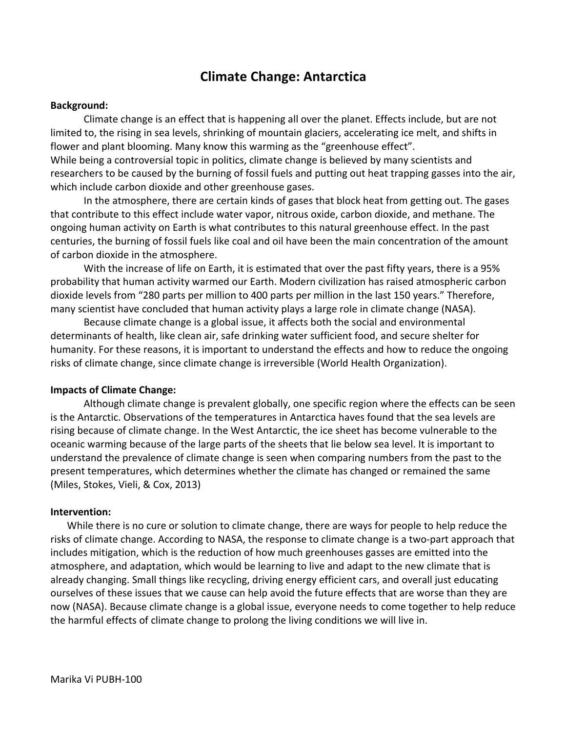# **Climate Change: Antarctica**

## **Background:**

Climate change is an effect that is happening all over the planet. Effects include, but are not limited to, the rising in sea levels, shrinking of mountain glaciers, accelerating ice melt, and shifts in flower and plant blooming. Many know this warming as the "greenhouse effect". While being a controversial topic in politics, climate change is believed by many scientists and researchers to be caused by the burning of fossil fuels and putting out heat trapping gasses into the air, which include carbon dioxide and other greenhouse gases.

In the atmosphere, there are certain kinds of gases that block heat from getting out. The gases that contribute to this effect include water vapor, nitrous oxide, carbon dioxide, and methane. The ongoing human activity on Earth is what contributes to this natural greenhouse effect. In the past centuries, the burning of fossil fuels like coal and oil have been the main concentration of the amount of carbon dioxide in the atmosphere.

With the increase of life on Earth, it is estimated that over the past fifty years, there is a 95% probability that human activity warmed our Earth. Modern civilization has raised atmospheric carbon dioxide levels from "280 parts per million to 400 parts per million in the last 150 years." Therefore, many scientist have concluded that human activity plays a large role in climate change (NASA).

Because climate change is a global issue, it affects both the social and environmental determinants of health, like clean air, safe drinking water sufficient food, and secure shelter for humanity. For these reasons, it is important to understand the effects and how to reduce the ongoing risks of climate change, since climate change is irreversible (World Health Organization).

### **Impacts of Climate Change:**

Although climate change is prevalent globally, one specific region where the effects can be seen is the Antarctic. Observations of the temperatures in Antarctica haves found that the sea levels are rising because of climate change. In the West Antarctic, the ice sheet has become vulnerable to the oceanic warming because of the large parts of the sheets that lie below sea level. It is important to understand the prevalence of climate change is seen when comparing numbers from the past to the present temperatures, which determines whether the climate has changed or remained the same (Miles, Stokes, Vieli, & Cox, 2013)

### **Intervention:**

While there is no cure or solution to climate change, there are ways for people to help reduce the risks of climate change. According to NASA, the response to climate change is a two-part approach that includes mitigation, which is the reduction of how much greenhouses gasses are emitted into the atmosphere, and adaptation, which would be learning to live and adapt to the new climate that is already changing. Small things like recycling, driving energy efficient cars, and overall just educating ourselves of these issues that we cause can help avoid the future effects that are worse than they are now (NASA). Because climate change is a global issue, everyone needs to come together to help reduce the harmful effects of climate change to prolong the living conditions we will live in.